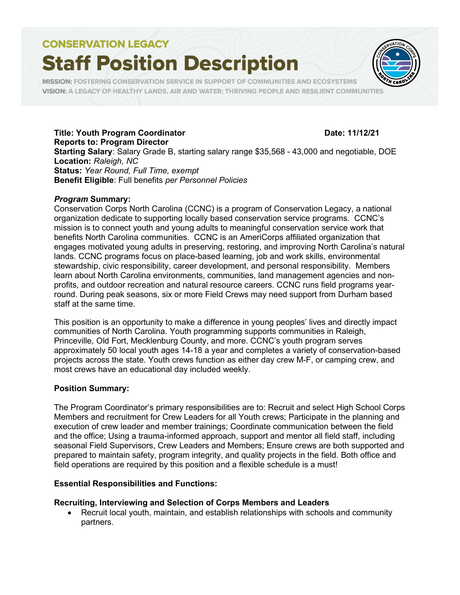# **CONSERVATION LEGACY**

# **Staff Position Description**



MISSION: FOSTERING CONSERVATION SERVICE IN SUPPORT OF COMMUNITIES AND ECOSYSTEMS VISION: A LEGACY OF HEALTHY LANDS, AIR AND WATER; THRIVING PEOPLE AND RESILIENT COMMUNITIES

# Title: Youth Program Coordinator **Date: 11/12/21**

Reports to: Program Director Starting Salary: Salary Grade B, starting salary range \$35,568 - 43,000 and negotiable, DOE Location: Raleigh, NC Status: Year Round, Full Time, exempt Benefit Eligible: Full benefits per Personnel Policies

### Program Summary:

Conservation Corps North Carolina (CCNC) is a program of Conservation Legacy, a national organization dedicate to supporting locally based conservation service programs. CCNC's mission is to connect youth and young adults to meaningful conservation service work that benefits North Carolina communities. CCNC is an AmeriCorps affiliated organization that engages motivated young adults in preserving, restoring, and improving North Carolina's natural lands. CCNC programs focus on place-based learning, job and work skills, environmental stewardship, civic responsibility, career development, and personal responsibility. Members learn about North Carolina environments, communities, land management agencies and nonprofits, and outdoor recreation and natural resource careers. CCNC runs field programs yearround. During peak seasons, six or more Field Crews may need support from Durham based staff at the same time.

This position is an opportunity to make a difference in young peoples' lives and directly impact communities of North Carolina. Youth programming supports communities in Raleigh, Princeville, Old Fort, Mecklenburg County, and more. CCNC's youth program serves approximately 50 local youth ages 14-18 a year and completes a variety of conservation-based projects across the state. Youth crews function as either day crew M-F, or camping crew, and most crews have an educational day included weekly.

# Position Summary:

The Program Coordinator's primary responsibilities are to: Recruit and select High School Corps Members and recruitment for Crew Leaders for all Youth crews; Participate in the planning and execution of crew leader and member trainings; Coordinate communication between the field and the office; Using a trauma-informed approach, support and mentor all field staff, including seasonal Field Supervisors, Crew Leaders and Members; Ensure crews are both supported and prepared to maintain safety, program integrity, and quality projects in the field. Both office and field operations are required by this position and a flexible schedule is a must!

# Essential Responsibilities and Functions:

# Recruiting, Interviewing and Selection of Corps Members and Leaders

 Recruit local youth, maintain, and establish relationships with schools and community partners.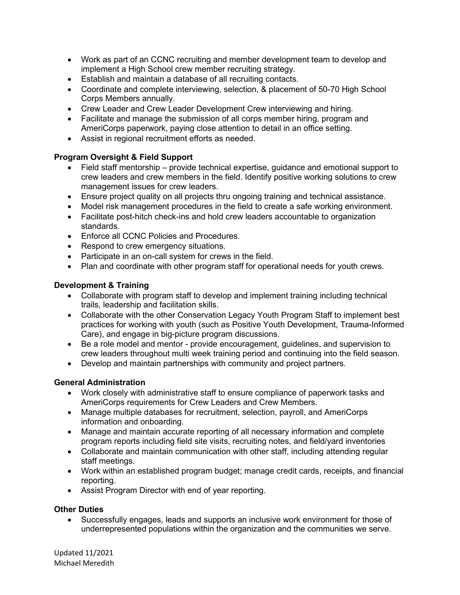- Work as part of an CCNC recruiting and member development team to develop and implement a High School crew member recruiting strategy.
- Establish and maintain a database of all recruiting contacts.
- Coordinate and complete interviewing, selection, & placement of 50-70 High School Corps Members annually.
- Crew Leader and Crew Leader Development Crew interviewing and hiring.
- Facilitate and manage the submission of all corps member hiring, program and AmeriCorps paperwork, paying close attention to detail in an office setting.
- Assist in regional recruitment efforts as needed.

# Program Oversight & Field Support

- Field staff mentorship provide technical expertise, guidance and emotional support to crew leaders and crew members in the field. Identify positive working solutions to crew management issues for crew leaders.
- Ensure project quality on all projects thru ongoing training and technical assistance.
- Model risk management procedures in the field to create a safe working environment.
- Facilitate post-hitch check-ins and hold crew leaders accountable to organization standards.
- Enforce all CCNC Policies and Procedures.
- Respond to crew emergency situations.
- Participate in an on-call system for crews in the field.
- Plan and coordinate with other program staff for operational needs for youth crews.

# Development & Training

- Collaborate with program staff to develop and implement training including technical trails, leadership and facilitation skills.
- Collaborate with the other Conservation Legacy Youth Program Staff to implement best practices for working with youth (such as Positive Youth Development, Trauma-Informed Care), and engage in big-picture program discussions.
- Be a role model and mentor provide encouragement, guidelines, and supervision to crew leaders throughout multi week training period and continuing into the field season.
- Develop and maintain partnerships with community and project partners.

# General Administration

- Work closely with administrative staff to ensure compliance of paperwork tasks and AmeriCorps requirements for Crew Leaders and Crew Members.
- Manage multiple databases for recruitment, selection, payroll, and AmeriCorps information and onboarding.
- Manage and maintain accurate reporting of all necessary information and complete program reports including field site visits, recruiting notes, and field/yard inventories
- Collaborate and maintain communication with other staff, including attending regular staff meetings.
- Work within an established program budget; manage credit cards, receipts, and financial reporting.
- Assist Program Director with end of year reporting.

# Other Duties

 Successfully engages, leads and supports an inclusive work environment for those of underrepresented populations within the organization and the communities we serve.

Updated 11/2021 Michael Meredith